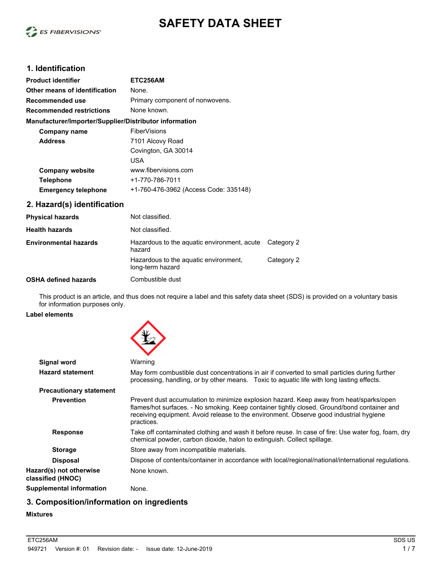

# **SAFETY DATA SHEET**

### **1. Identification**

| <b>Product identifier</b>                              | ETC256AM                              |  |
|--------------------------------------------------------|---------------------------------------|--|
| Other means of identification                          | None.                                 |  |
| Recommended use                                        | Primary component of nonwovens.       |  |
| <b>Recommended restrictions</b>                        | None known.                           |  |
| Manufacturer/Importer/Supplier/Distributor information |                                       |  |
| Company name                                           | <b>FiberVisions</b>                   |  |
| <b>Address</b>                                         | 7101 Alcovy Road                      |  |
|                                                        | Covington, GA 30014                   |  |
|                                                        | USA                                   |  |
| <b>Company website</b>                                 | www.fibervisions.com                  |  |
| <b>Telephone</b>                                       | +1-770-786-7011                       |  |
| <b>Emergency telephone</b>                             | +1-760-476-3962 (Access Code: 335148) |  |

### **2. Hazard(s) identification**

| <b>Physical hazards</b>      | Not classified.                                           |            |
|------------------------------|-----------------------------------------------------------|------------|
| <b>Health hazards</b>        | Not classified.                                           |            |
| <b>Environmental hazards</b> | Hazardous to the aguatic environment, acute<br>hazard     | Category 2 |
|                              | Hazardous to the aquatic environment.<br>long-term hazard | Category 2 |
| <b>OSHA defined hazards</b>  | Combustible dust                                          |            |

This product is an article, and thus does not require a label and this safety data sheet (SDS) is provided on a voluntary basis for information purposes only.

#### **Label elements**



| Signal word                                  | Warning                                                                                                                                                                                                                                                                                        |
|----------------------------------------------|------------------------------------------------------------------------------------------------------------------------------------------------------------------------------------------------------------------------------------------------------------------------------------------------|
| <b>Hazard statement</b>                      | May form combustible dust concentrations in air if converted to small particles during further<br>processing, handling, or by other means. Toxic to aguatic life with long lasting effects.                                                                                                    |
| <b>Precautionary statement</b>               |                                                                                                                                                                                                                                                                                                |
| <b>Prevention</b>                            | Prevent dust accumulation to minimize explosion hazard. Keep away from heat/sparks/open<br>flames/hot surfaces. - No smoking. Keep container tightly closed. Ground/bond container and<br>receiving equipment. Avoid release to the environment. Observe good industrial hygiene<br>practices. |
| <b>Response</b>                              | Take off contaminated clothing and wash it before reuse. In case of fire: Use water fog, foam, dry<br>chemical powder, carbon dioxide, halon to extinguish. Collect spillage.                                                                                                                  |
| <b>Storage</b>                               | Store away from incompatible materials.                                                                                                                                                                                                                                                        |
| <b>Disposal</b>                              | Dispose of contents/container in accordance with local/regional/national/international regulations.                                                                                                                                                                                            |
| Hazard(s) not otherwise<br>classified (HNOC) | None known.                                                                                                                                                                                                                                                                                    |
| Supplemental information                     | None.                                                                                                                                                                                                                                                                                          |

### **3. Composition/information on ingredients**

#### **Mixtures**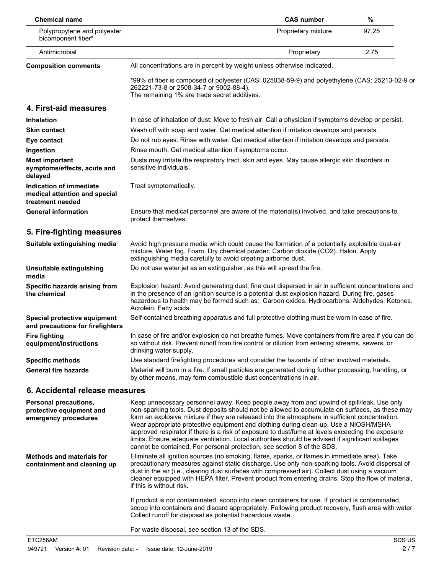| <b>Chemical name</b>                                                         |                                                                                                                                                                                                                                                                                                                                                                                                                                                                                                                                                                                                                                                                             | <b>CAS number</b>   | $\%$  |
|------------------------------------------------------------------------------|-----------------------------------------------------------------------------------------------------------------------------------------------------------------------------------------------------------------------------------------------------------------------------------------------------------------------------------------------------------------------------------------------------------------------------------------------------------------------------------------------------------------------------------------------------------------------------------------------------------------------------------------------------------------------------|---------------------|-------|
| Polypropylene and polyester<br>bicomponent fiber*                            |                                                                                                                                                                                                                                                                                                                                                                                                                                                                                                                                                                                                                                                                             | Proprietary mixture | 97.25 |
| Antimicrobial                                                                |                                                                                                                                                                                                                                                                                                                                                                                                                                                                                                                                                                                                                                                                             | Proprietary         | 2.75  |
| <b>Composition comments</b>                                                  | All concentrations are in percent by weight unless otherwise indicated.                                                                                                                                                                                                                                                                                                                                                                                                                                                                                                                                                                                                     |                     |       |
|                                                                              | *99% of fiber is composed of polyester (CAS: 025038-59-9) and polyethylene (CAS: 25213-02-9 or<br>262221-73-8 or 2508-34-7 or 9002-88-4).<br>The remaining 1% are trade secret additives.                                                                                                                                                                                                                                                                                                                                                                                                                                                                                   |                     |       |
| 4. First-aid measures                                                        |                                                                                                                                                                                                                                                                                                                                                                                                                                                                                                                                                                                                                                                                             |                     |       |
| <b>Inhalation</b>                                                            | In case of inhalation of dust: Move to fresh air. Call a physician if symptoms develop or persist.                                                                                                                                                                                                                                                                                                                                                                                                                                                                                                                                                                          |                     |       |
| <b>Skin contact</b>                                                          | Wash off with soap and water. Get medical attention if irritation develops and persists.                                                                                                                                                                                                                                                                                                                                                                                                                                                                                                                                                                                    |                     |       |
| Eye contact                                                                  | Do not rub eyes. Rinse with water. Get medical attention if irritation develops and persists.                                                                                                                                                                                                                                                                                                                                                                                                                                                                                                                                                                               |                     |       |
| Ingestion                                                                    | Rinse mouth. Get medical attention if symptoms occur.                                                                                                                                                                                                                                                                                                                                                                                                                                                                                                                                                                                                                       |                     |       |
| <b>Most important</b><br>symptoms/effects, acute and<br>delayed              | Dusts may irritate the respiratory tract, skin and eyes. May cause allergic skin disorders in<br>sensitive individuals.                                                                                                                                                                                                                                                                                                                                                                                                                                                                                                                                                     |                     |       |
| Indication of immediate<br>medical attention and special<br>treatment needed | Treat symptomatically.                                                                                                                                                                                                                                                                                                                                                                                                                                                                                                                                                                                                                                                      |                     |       |
| <b>General information</b>                                                   | Ensure that medical personnel are aware of the material(s) involved, and take precautions to<br>protect themselves.                                                                                                                                                                                                                                                                                                                                                                                                                                                                                                                                                         |                     |       |
| 5. Fire-fighting measures                                                    |                                                                                                                                                                                                                                                                                                                                                                                                                                                                                                                                                                                                                                                                             |                     |       |
| Suitable extinguishing media                                                 | Avoid high pressure media which could cause the formation of a potentially explosible dust-air<br>mixture. Water fog. Foam. Dry chemical powder. Carbon dioxide (CO2). Halon. Apply<br>extinguishing media carefully to avoid creating airborne dust.                                                                                                                                                                                                                                                                                                                                                                                                                       |                     |       |
| Unsuitable extinguishing<br>media                                            | Do not use water jet as an extinguisher, as this will spread the fire.                                                                                                                                                                                                                                                                                                                                                                                                                                                                                                                                                                                                      |                     |       |
| Specific hazards arising from<br>the chemical                                | Explosion hazard: Avoid generating dust; fine dust dispersed in air in sufficient concentrations and<br>in the presence of an ignition source is a potential dust explosion hazard. During fire, gases<br>hazardous to health may be formed such as: Carbon oxides. Hydrocarbons. Aldehydes. Ketones.<br>Acrolein. Fatty acids.                                                                                                                                                                                                                                                                                                                                             |                     |       |
| Special protective equipment<br>and precautions for firefighters             | Self-contained breathing apparatus and full protective clothing must be worn in case of fire.                                                                                                                                                                                                                                                                                                                                                                                                                                                                                                                                                                               |                     |       |
| <b>Fire fighting</b><br>equipment/instructions                               | In case of fire and/or explosion do not breathe fumes. Move containers from fire area if you can do<br>so without risk. Prevent runoff from fire control or dilution from entering streams, sewers, or<br>drinking water supply.                                                                                                                                                                                                                                                                                                                                                                                                                                            |                     |       |
| <b>Specific methods</b>                                                      | Use standard firefighting procedures and consider the hazards of other involved materials.                                                                                                                                                                                                                                                                                                                                                                                                                                                                                                                                                                                  |                     |       |
| <b>General fire hazards</b>                                                  | Material will burn in a fire. If small particles are generated during further processing, handling, or<br>by other means, may form combustible dust concentrations in air.                                                                                                                                                                                                                                                                                                                                                                                                                                                                                                  |                     |       |
| 6. Accidental release measures                                               |                                                                                                                                                                                                                                                                                                                                                                                                                                                                                                                                                                                                                                                                             |                     |       |
| Personal precautions,<br>protective equipment and<br>emergency procedures    | Keep unnecessary personnel away. Keep people away from and upwind of spill/leak. Use only<br>non-sparking tools. Dust deposits should not be allowed to accumulate on surfaces, as these may<br>form an explosive mixture if they are released into the atmosphere in sufficient concentration.<br>Wear appropriate protective equipment and clothing during clean-up. Use a NIOSH/MSHA<br>approved respirator if there is a risk of exposure to dust/fume at levels exceeding the exposure<br>limits. Ensure adequate ventilation. Local authorities should be advised if significant spillages<br>cannot be contained. For personal protection, see section 8 of the SDS. |                     |       |
| <b>Methods and materials for</b><br>containment and cleaning up              | Eliminate all ignition sources (no smoking, flares, sparks, or flames in immediate area). Take<br>precautionary measures against static discharge. Use only non-sparking tools. Avoid dispersal of<br>dust in the air (i.e., clearing dust surfaces with compressed air). Collect dust using a vacuum<br>cleaner equipped with HEPA filter. Prevent product from entering drains. Stop the flow of material,<br>if this is without risk.                                                                                                                                                                                                                                    |                     |       |
|                                                                              | If product is not contaminated, scoop into clean containers for use. If product is contaminated,<br>scoop into containers and discard appropriately. Following product recovery, flush area with water.<br>Collect runoff for disposal as potential hazardous waste.                                                                                                                                                                                                                                                                                                                                                                                                        |                     |       |
|                                                                              | For waste disposal, see section 13 of the SDS.                                                                                                                                                                                                                                                                                                                                                                                                                                                                                                                                                                                                                              |                     |       |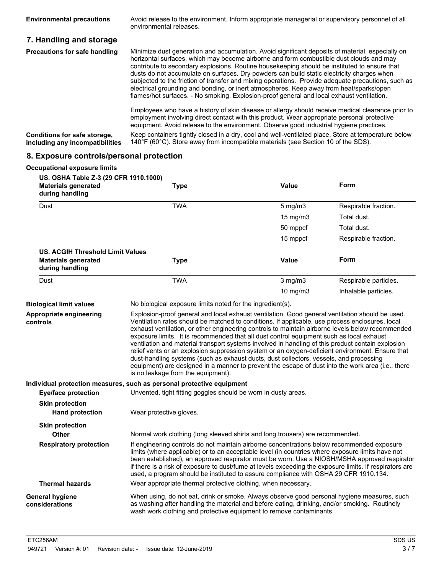| <b>Environmental precautions</b>                                | Avoid release to the environment. Inform appropriate managerial or supervisory personnel of all<br>environmental releases.                                                                                                                                                                                                                                                                                                                                                                                                                                                                                                                                                              |
|-----------------------------------------------------------------|-----------------------------------------------------------------------------------------------------------------------------------------------------------------------------------------------------------------------------------------------------------------------------------------------------------------------------------------------------------------------------------------------------------------------------------------------------------------------------------------------------------------------------------------------------------------------------------------------------------------------------------------------------------------------------------------|
| 7. Handling and storage                                         |                                                                                                                                                                                                                                                                                                                                                                                                                                                                                                                                                                                                                                                                                         |
| <b>Precautions for safe handling</b>                            | Minimize dust generation and accumulation. Avoid significant deposits of material, especially on<br>horizontal surfaces, which may become airborne and form combustible dust clouds and may<br>contribute to secondary explosions. Routine housekeeping should be instituted to ensure that<br>dusts do not accumulate on surfaces. Dry powders can build static electricity charges when<br>subjected to the friction of transfer and mixing operations. Provide adequate precautions, such as<br>electrical grounding and bonding, or inert atmospheres. Keep away from heat/sparks/open<br>flames/hot surfaces. - No smoking. Explosion-proof general and local exhaust ventilation. |
|                                                                 | Employees who have a history of skin disease or allergy should receive medical clearance prior to<br>employment involving direct contact with this product. Wear appropriate personal protective<br>equipment. Avoid release to the environment. Observe good industrial hygiene practices.                                                                                                                                                                                                                                                                                                                                                                                             |
| Conditions for safe storage,<br>including any incompatibilities | Keep containers tightly closed in a dry, cool and well-ventilated place. Store at temperature below<br>140 $\degree$ F (60 $\degree$ C). Store away from incompatible materials (see Section 10 of the SDS).                                                                                                                                                                                                                                                                                                                                                                                                                                                                            |

# **8. Exposure controls/personal protection**

#### **Occupational exposure limits**

| US. OSHA Table Z-3 (29 CFR 1910.1000)<br><b>Materials generated</b><br>during handling | <b>Type</b>                                                                                                                                                                                                                                                                                                                                                                                                                                                                                                                                                                                                                                                                                                                                                                                                                                     | <b>Value</b> | Form                  |
|----------------------------------------------------------------------------------------|-------------------------------------------------------------------------------------------------------------------------------------------------------------------------------------------------------------------------------------------------------------------------------------------------------------------------------------------------------------------------------------------------------------------------------------------------------------------------------------------------------------------------------------------------------------------------------------------------------------------------------------------------------------------------------------------------------------------------------------------------------------------------------------------------------------------------------------------------|--------------|-----------------------|
| Dust                                                                                   | <b>TWA</b>                                                                                                                                                                                                                                                                                                                                                                                                                                                                                                                                                                                                                                                                                                                                                                                                                                      | $5$ mg/m $3$ | Respirable fraction.  |
|                                                                                        |                                                                                                                                                                                                                                                                                                                                                                                                                                                                                                                                                                                                                                                                                                                                                                                                                                                 | 15 mg/m3     | Total dust.           |
|                                                                                        |                                                                                                                                                                                                                                                                                                                                                                                                                                                                                                                                                                                                                                                                                                                                                                                                                                                 | 50 mppcf     | Total dust.           |
|                                                                                        |                                                                                                                                                                                                                                                                                                                                                                                                                                                                                                                                                                                                                                                                                                                                                                                                                                                 | 15 mppcf     | Respirable fraction.  |
| <b>US. ACGIH Threshold Limit Values</b>                                                |                                                                                                                                                                                                                                                                                                                                                                                                                                                                                                                                                                                                                                                                                                                                                                                                                                                 |              |                       |
| <b>Materials generated</b><br>during handling                                          | <b>Type</b>                                                                                                                                                                                                                                                                                                                                                                                                                                                                                                                                                                                                                                                                                                                                                                                                                                     | Value        | Form                  |
| Dust                                                                                   | <b>TWA</b>                                                                                                                                                                                                                                                                                                                                                                                                                                                                                                                                                                                                                                                                                                                                                                                                                                      | $3$ mg/m $3$ | Respirable particles. |
|                                                                                        |                                                                                                                                                                                                                                                                                                                                                                                                                                                                                                                                                                                                                                                                                                                                                                                                                                                 | 10 mg/m3     | Inhalable particles.  |
| <b>Biological limit values</b>                                                         | No biological exposure limits noted for the ingredient(s).                                                                                                                                                                                                                                                                                                                                                                                                                                                                                                                                                                                                                                                                                                                                                                                      |              |                       |
| Appropriate engineering<br>controls                                                    | Explosion-proof general and local exhaust ventilation. Good general ventilation should be used.<br>Ventilation rates should be matched to conditions. If applicable, use process enclosures, local<br>exhaust ventilation, or other engineering controls to maintain airborne levels below recommended<br>exposure limits. It is recommended that all dust control equipment such as local exhaust<br>ventilation and material transport systems involved in handling of this product contain explosion<br>relief vents or an explosion suppression system or an oxygen-deficient environment. Ensure that<br>dust-handling systems (such as exhaust ducts, dust collectors, vessels, and processing<br>equipment) are designed in a manner to prevent the escape of dust into the work area (i.e., there<br>is no leakage from the equipment). |              |                       |
|                                                                                        | Individual protection measures, such as personal protective equipment                                                                                                                                                                                                                                                                                                                                                                                                                                                                                                                                                                                                                                                                                                                                                                           |              |                       |
| <b>Eye/face protection</b>                                                             | Unvented, tight fitting goggles should be worn in dusty areas.                                                                                                                                                                                                                                                                                                                                                                                                                                                                                                                                                                                                                                                                                                                                                                                  |              |                       |
| <b>Skin protection</b><br><b>Hand protection</b>                                       | Wear protective gloves.                                                                                                                                                                                                                                                                                                                                                                                                                                                                                                                                                                                                                                                                                                                                                                                                                         |              |                       |
| <b>Skin protection</b>                                                                 |                                                                                                                                                                                                                                                                                                                                                                                                                                                                                                                                                                                                                                                                                                                                                                                                                                                 |              |                       |
| <b>Other</b>                                                                           | Normal work clothing (long sleeved shirts and long trousers) are recommended.                                                                                                                                                                                                                                                                                                                                                                                                                                                                                                                                                                                                                                                                                                                                                                   |              |                       |
| <b>Respiratory protection</b>                                                          | If engineering controls do not maintain airborne concentrations below recommended exposure<br>limits (where applicable) or to an acceptable level (in countries where exposure limits have not<br>been established), an approved respirator must be worn. Use a NIOSH/MSHA approved respirator<br>if there is a risk of exposure to dust/fume at levels exceeding the exposure limits. If respirators are<br>used, a program should be instituted to assure compliance with OSHA 29 CFR 1910.134.                                                                                                                                                                                                                                                                                                                                               |              |                       |
| <b>Thermal hazards</b>                                                                 | Wear appropriate thermal protective clothing, when necessary.                                                                                                                                                                                                                                                                                                                                                                                                                                                                                                                                                                                                                                                                                                                                                                                   |              |                       |
| General hygiene<br>considerations                                                      | When using, do not eat, drink or smoke. Always observe good personal hygiene measures, such<br>as washing after handling the material and before eating, drinking, and/or smoking. Routinely<br>wash work clothing and protective equipment to remove contaminants.                                                                                                                                                                                                                                                                                                                                                                                                                                                                                                                                                                             |              |                       |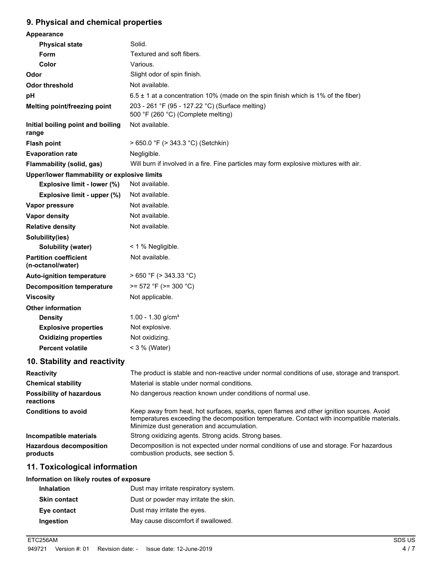### **9. Physical and chemical properties**

| Appearance                                        |                                                                                                                                                                                                                                      |
|---------------------------------------------------|--------------------------------------------------------------------------------------------------------------------------------------------------------------------------------------------------------------------------------------|
| <b>Physical state</b>                             | Solid.                                                                                                                                                                                                                               |
| Form                                              | Textured and soft fibers.                                                                                                                                                                                                            |
| Color                                             | Various.                                                                                                                                                                                                                             |
| Odor                                              | Slight odor of spin finish.                                                                                                                                                                                                          |
| <b>Odor threshold</b>                             | Not available.                                                                                                                                                                                                                       |
| рH                                                | $6.5 \pm 1$ at a concentration 10% (made on the spin finish which is 1% of the fiber)                                                                                                                                                |
| Melting point/freezing point                      | 203 - 261 °F (95 - 127.22 °C) (Surface melting)<br>500 °F (260 °C) (Complete melting)                                                                                                                                                |
| Initial boiling point and boiling<br>range        | Not available.                                                                                                                                                                                                                       |
| <b>Flash point</b>                                | > 650.0 °F (> 343.3 °C) (Setchkin)                                                                                                                                                                                                   |
| <b>Evaporation rate</b>                           | Negligible.                                                                                                                                                                                                                          |
| Flammability (solid, gas)                         | Will burn if involved in a fire. Fine particles may form explosive mixtures with air.                                                                                                                                                |
| Upper/lower flammability or explosive limits      |                                                                                                                                                                                                                                      |
| Explosive limit - lower (%)                       | Not available.                                                                                                                                                                                                                       |
| Explosive limit - upper (%)                       | Not available.                                                                                                                                                                                                                       |
| Vapor pressure                                    | Not available.                                                                                                                                                                                                                       |
| Vapor density                                     | Not available.                                                                                                                                                                                                                       |
| <b>Relative density</b>                           | Not available.                                                                                                                                                                                                                       |
| Solubility(ies)                                   |                                                                                                                                                                                                                                      |
| Solubility (water)                                | $<$ 1 % Negligible.                                                                                                                                                                                                                  |
| <b>Partition coefficient</b><br>(n-octanol/water) | Not available.                                                                                                                                                                                                                       |
| <b>Auto-ignition temperature</b>                  | $> 650$ °F ( $> 343.33$ °C)                                                                                                                                                                                                          |
| <b>Decomposition temperature</b>                  | $>= 572$ °F ( $>= 300$ °C)                                                                                                                                                                                                           |
| <b>Viscosity</b>                                  | Not applicable.                                                                                                                                                                                                                      |
| <b>Other information</b>                          |                                                                                                                                                                                                                                      |
| <b>Density</b>                                    | 1.00 - 1.30 $g/cm3$                                                                                                                                                                                                                  |
| <b>Explosive properties</b>                       | Not explosive.                                                                                                                                                                                                                       |
| <b>Oxidizing properties</b>                       | Not oxidizing.                                                                                                                                                                                                                       |
| <b>Percent volatile</b>                           | $<$ 3 % (Water)                                                                                                                                                                                                                      |
| 10. Stability and reactivity                      |                                                                                                                                                                                                                                      |
| <b>Reactivity</b>                                 | The product is stable and non-reactive under normal conditions of use, storage and transport.                                                                                                                                        |
| <b>Chemical stability</b>                         | Material is stable under normal conditions.                                                                                                                                                                                          |
| <b>Possibility of hazardous</b><br>reactions      | No dangerous reaction known under conditions of normal use.                                                                                                                                                                          |
| <b>Conditions to avoid</b>                        | Keep away from heat, hot surfaces, sparks, open flames and other ignition sources. Avoid<br>temperatures exceeding the decomposition temperature. Contact with incompatible materials.<br>Minimize dust generation and accumulation. |
| Incompatible materials                            | Strong oxidizing agents. Strong acids. Strong bases.                                                                                                                                                                                 |
| <b>Hazardous decomposition</b><br>products        | Decomposition is not expected under normal conditions of use and storage. For hazardous<br>combustion products, see section 5.                                                                                                       |

# **11. Toxicological information**

### **Information on likely routes of exposure**

| Dust may irritate respiratory system. |
|---------------------------------------|
| Dust or powder may irritate the skin. |
| Dust may irritate the eyes.           |
| May cause discomfort if swallowed.    |
|                                       |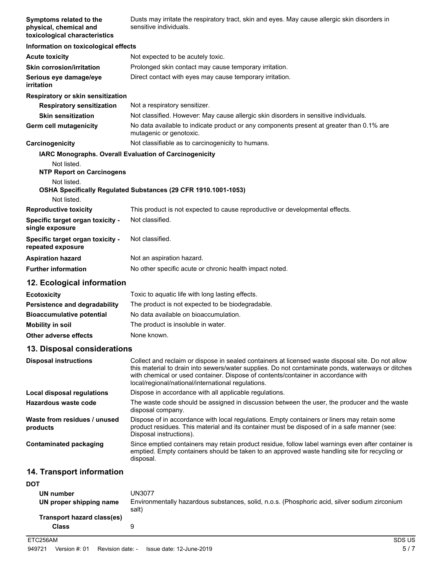| Symptoms related to the<br>physical, chemical and<br>toxicological characteristics | Dusts may irritate the respiratory tract, skin and eyes. May cause allergic skin disorders in<br>sensitive individuals.                                                                                                                                                                                                                           |
|------------------------------------------------------------------------------------|---------------------------------------------------------------------------------------------------------------------------------------------------------------------------------------------------------------------------------------------------------------------------------------------------------------------------------------------------|
| Information on toxicological effects                                               |                                                                                                                                                                                                                                                                                                                                                   |
| <b>Acute toxicity</b>                                                              | Not expected to be acutely toxic.                                                                                                                                                                                                                                                                                                                 |
| <b>Skin corrosion/irritation</b>                                                   | Prolonged skin contact may cause temporary irritation.                                                                                                                                                                                                                                                                                            |
| Serious eye damage/eye<br>irritation                                               | Direct contact with eyes may cause temporary irritation.                                                                                                                                                                                                                                                                                          |
| <b>Respiratory or skin sensitization</b>                                           |                                                                                                                                                                                                                                                                                                                                                   |
| <b>Respiratory sensitization</b>                                                   | Not a respiratory sensitizer.                                                                                                                                                                                                                                                                                                                     |
| <b>Skin sensitization</b>                                                          | Not classified. However: May cause allergic skin disorders in sensitive individuals.                                                                                                                                                                                                                                                              |
| Germ cell mutagenicity                                                             | No data available to indicate product or any components present at greater than 0.1% are<br>mutagenic or genotoxic.                                                                                                                                                                                                                               |
| Carcinogenicity                                                                    | Not classifiable as to carcinogenicity to humans.                                                                                                                                                                                                                                                                                                 |
|                                                                                    | <b>IARC Monographs. Overall Evaluation of Carcinogenicity</b>                                                                                                                                                                                                                                                                                     |
| Not listed.<br><b>NTP Report on Carcinogens</b>                                    |                                                                                                                                                                                                                                                                                                                                                   |
| Not listed.                                                                        | OSHA Specifically Regulated Substances (29 CFR 1910.1001-1053)                                                                                                                                                                                                                                                                                    |
| Not listed.                                                                        |                                                                                                                                                                                                                                                                                                                                                   |
| <b>Reproductive toxicity</b>                                                       | This product is not expected to cause reproductive or developmental effects.                                                                                                                                                                                                                                                                      |
| Specific target organ toxicity -<br>single exposure                                | Not classified.                                                                                                                                                                                                                                                                                                                                   |
| Specific target organ toxicity -<br>repeated exposure                              | Not classified.                                                                                                                                                                                                                                                                                                                                   |
| <b>Aspiration hazard</b>                                                           | Not an aspiration hazard.                                                                                                                                                                                                                                                                                                                         |
| <b>Further information</b>                                                         | No other specific acute or chronic health impact noted.                                                                                                                                                                                                                                                                                           |
| 12. Ecological information                                                         |                                                                                                                                                                                                                                                                                                                                                   |
| <b>Ecotoxicity</b>                                                                 | Toxic to aquatic life with long lasting effects.                                                                                                                                                                                                                                                                                                  |
| Persistence and degradability                                                      | The product is not expected to be biodegradable.                                                                                                                                                                                                                                                                                                  |
| <b>Bioaccumulative potential</b>                                                   | No data available on bioaccumulation.                                                                                                                                                                                                                                                                                                             |
| <b>Mobility in soil</b>                                                            | The product is insoluble in water.                                                                                                                                                                                                                                                                                                                |
| Other adverse effects                                                              | None known.                                                                                                                                                                                                                                                                                                                                       |
| 13. Disposal considerations                                                        |                                                                                                                                                                                                                                                                                                                                                   |
| <b>Disposal instructions</b>                                                       | Collect and reclaim or dispose in sealed containers at licensed waste disposal site. Do not allow<br>this material to drain into sewers/water supplies. Do not contaminate ponds, waterways or ditches<br>with chemical or used container. Dispose of contents/container in accordance with<br>local/regional/national/international regulations. |
| Local disposal regulations                                                         | Dispose in accordance with all applicable regulations.                                                                                                                                                                                                                                                                                            |
| <b>Hazardous waste code</b>                                                        | The waste code should be assigned in discussion between the user, the producer and the waste<br>disposal company.                                                                                                                                                                                                                                 |
| Waste from residues / unused<br>products                                           | Dispose of in accordance with local regulations. Empty containers or liners may retain some<br>product residues. This material and its container must be disposed of in a safe manner (see:<br>Disposal instructions).                                                                                                                            |
| <b>Contaminated packaging</b>                                                      | Since emptied containers may retain product residue, follow label warnings even after container is<br>emptied. Empty containers should be taken to an approved waste handling site for recycling or<br>disposal.                                                                                                                                  |
| 14. Transport information                                                          |                                                                                                                                                                                                                                                                                                                                                   |
| <b>DOT</b>                                                                         |                                                                                                                                                                                                                                                                                                                                                   |
| <b>UN number</b>                                                                   | <b>UN3077</b>                                                                                                                                                                                                                                                                                                                                     |
|                                                                                    |                                                                                                                                                                                                                                                                                                                                                   |

| <b>UN NUMBER</b>           | UNJU <i>LI</i>                                                                                         |
|----------------------------|--------------------------------------------------------------------------------------------------------|
| UN proper shipping name    | Environmentally hazardous substances, solid, n.o.s. (Phosphoric acid, silver sodium zirconium<br>salt) |
| Transport hazard class(es) |                                                                                                        |
| <b>Class</b>               |                                                                                                        |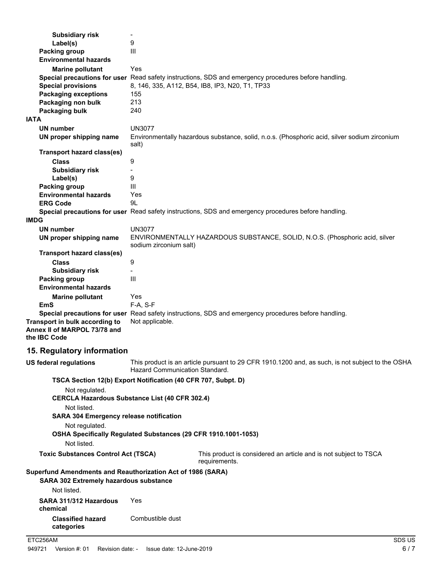| <b>Subsidiary risk</b>                                                                                       | $\overline{\phantom{a}}$                                                                                                           |
|--------------------------------------------------------------------------------------------------------------|------------------------------------------------------------------------------------------------------------------------------------|
| Label(s)                                                                                                     | 9                                                                                                                                  |
| <b>Packing group</b>                                                                                         | III                                                                                                                                |
| <b>Environmental hazards</b>                                                                                 |                                                                                                                                    |
| <b>Marine pollutant</b>                                                                                      | Yes                                                                                                                                |
|                                                                                                              | Special precautions for user Read safety instructions, SDS and emergency procedures before handling.                               |
| <b>Special provisions</b>                                                                                    | 8, 146, 335, A112, B54, IB8, IP3, N20, T1, TP33                                                                                    |
| <b>Packaging exceptions</b>                                                                                  | 155                                                                                                                                |
| Packaging non bulk                                                                                           | 213                                                                                                                                |
| Packaging bulk                                                                                               | 240                                                                                                                                |
| <b>IATA</b>                                                                                                  |                                                                                                                                    |
| <b>UN number</b>                                                                                             | <b>UN3077</b>                                                                                                                      |
| UN proper shipping name                                                                                      | Environmentally hazardous substance, solid, n.o.s. (Phosphoric acid, silver sodium zirconium<br>salt)                              |
| <b>Transport hazard class(es)</b>                                                                            |                                                                                                                                    |
| <b>Class</b>                                                                                                 | 9                                                                                                                                  |
| <b>Subsidiary risk</b>                                                                                       |                                                                                                                                    |
| Label(s)                                                                                                     | 9                                                                                                                                  |
| Packing group                                                                                                | III                                                                                                                                |
| <b>Environmental hazards</b>                                                                                 | Yes                                                                                                                                |
| <b>ERG Code</b>                                                                                              | 9L                                                                                                                                 |
|                                                                                                              | Special precautions for user Read safety instructions, SDS and emergency procedures before handling.                               |
| <b>IMDG</b>                                                                                                  |                                                                                                                                    |
| <b>UN number</b>                                                                                             | <b>UN3077</b>                                                                                                                      |
| UN proper shipping name                                                                                      | ENVIRONMENTALLY HAZARDOUS SUBSTANCE, SOLID, N.O.S. (Phosphoric acid, silver<br>sodium zirconium salt)                              |
| <b>Transport hazard class(es)</b>                                                                            |                                                                                                                                    |
| <b>Class</b>                                                                                                 | 9                                                                                                                                  |
| <b>Subsidiary risk</b>                                                                                       |                                                                                                                                    |
| <b>Packing group</b><br><b>Environmental hazards</b>                                                         | Ш                                                                                                                                  |
| <b>Marine pollutant</b>                                                                                      | Yes                                                                                                                                |
| <b>EmS</b>                                                                                                   | F-A, S-F                                                                                                                           |
|                                                                                                              | Special precautions for user Read safety instructions, SDS and emergency procedures before handling.                               |
| Transport in bulk according to<br>Annex II of MARPOL 73/78 and<br>the IBC Code                               | Not applicable.                                                                                                                    |
| 15. Regulatory information                                                                                   |                                                                                                                                    |
| <b>US federal regulations</b>                                                                                | This product is an article pursuant to 29 CFR 1910.1200 and, as such, is not subject to the OSHA<br>Hazard Communication Standard. |
|                                                                                                              | TSCA Section 12(b) Export Notification (40 CFR 707, Subpt. D)                                                                      |
| Not regulated.                                                                                               | <b>CERCLA Hazardous Substance List (40 CFR 302.4)</b>                                                                              |
| Not listed.<br><b>SARA 304 Emergency release notification</b>                                                |                                                                                                                                    |
| Not regulated.                                                                                               | OSHA Specifically Regulated Substances (29 CFR 1910.1001-1053)                                                                     |
| Not listed.                                                                                                  |                                                                                                                                    |
|                                                                                                              |                                                                                                                                    |
| <b>Toxic Substances Control Act (TSCA)</b>                                                                   | This product is considered an article and is not subject to TSCA<br>requirements.                                                  |
| Superfund Amendments and Reauthorization Act of 1986 (SARA)<br><b>SARA 302 Extremely hazardous substance</b> |                                                                                                                                    |
| Not listed.                                                                                                  |                                                                                                                                    |
| SARA 311/312 Hazardous<br>chemical                                                                           | Yes                                                                                                                                |
| <b>Classified hazard</b><br>categories                                                                       | Combustible dust                                                                                                                   |